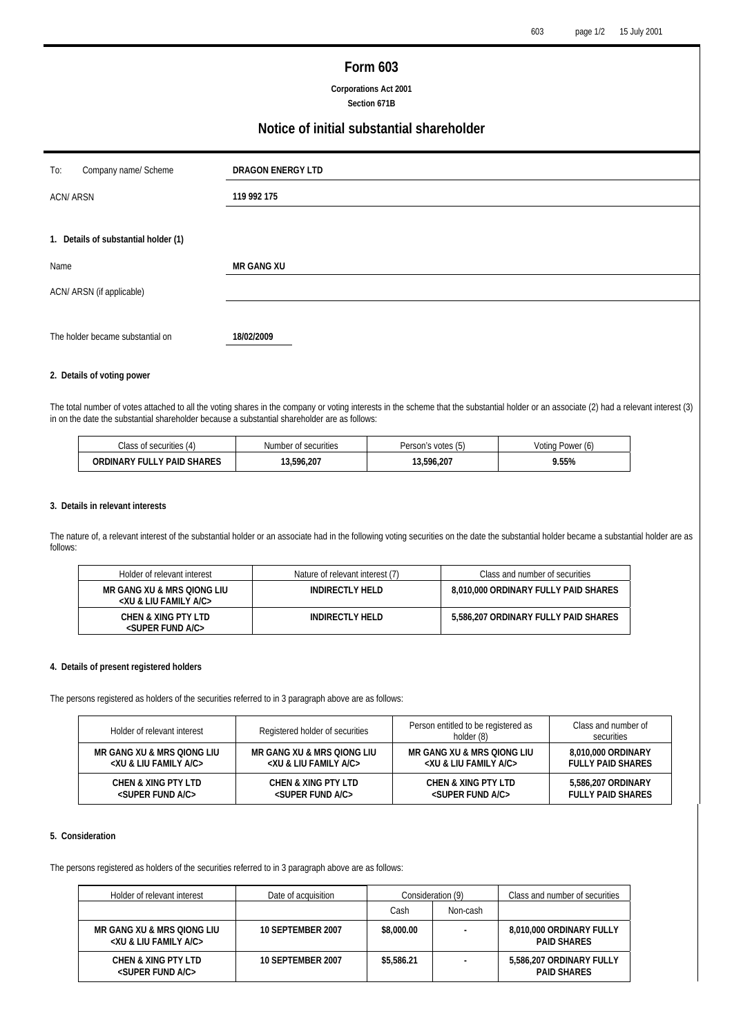## **Form 603**

**Corporations Act 2001 Section 671B** 

# **Notice of initial substantial shareholder**

| To:<br>Company name/ Scheme          | <b>DRAGON ENERGY LTD</b> |  |  |
|--------------------------------------|--------------------------|--|--|
| <b>ACN/ARSN</b>                      | 119 992 175              |  |  |
|                                      |                          |  |  |
| 1. Details of substantial holder (1) |                          |  |  |
| Name                                 | <b>MR GANG XU</b>        |  |  |
| ACN/ ARSN (if applicable)            |                          |  |  |
|                                      |                          |  |  |
| The holder became substantial on     | 18/02/2009               |  |  |

## **2. Details of voting power**

The total number of votes attached to all the voting shares in the company or voting interests in the scheme that the substantial holder or an associate (2) had a relevant interest (3) in on the date the substantial shareholder because a substantial shareholder are as follows:

| Class of securities (4)    | Number of securities |            | Votina<br>Power (6) |  |
|----------------------------|----------------------|------------|---------------------|--|
| ORDINARY FULLY PAID SHARES | 3.596.207            | 13.596.207 | .55%                |  |

## **3. Details in relevant interests**

The nature of, a relevant interest of the substantial holder or an associate had in the following voting securities on the date the substantial holder became a substantial holder are as follows:

| Holder of relevant interest                                             | Nature of relevant interest (7) | Class and number of securities       |
|-------------------------------------------------------------------------|---------------------------------|--------------------------------------|
| MR GANG XU & MRS OIONG LIU<br><xu &="" a="" c="" family="" liu=""></xu> | INDIRECTLY HELD                 | 8.010.000 ORDINARY FULLY PAID SHARES |
| CHEN & XING PTY LTD<br><super a="" c="" fund=""></super>                | INDIRECTLY HELD                 | 5,586,207 ORDINARY FULLY PAID SHARES |

## **4. Details of present registered holders**

The persons registered as holders of the securities referred to in 3 paragraph above are as follows:

| Holder of relevant interest                                             | Registered holder of securities                                                                                                                                                                | Person entitled to be registered as<br>holder (8) |                                                |
|-------------------------------------------------------------------------|------------------------------------------------------------------------------------------------------------------------------------------------------------------------------------------------|---------------------------------------------------|------------------------------------------------|
| MR GANG XU & MRS OIONG LIU<br><xu &="" a="" c="" family="" liu=""></xu> | MR GANG XU & MRS OIONG LIU<br><xu &="" a="" c="" family="" liu=""><br/>CHEN &amp; XING PTY LTD<br/><math>&lt;</math>SUPER FUND A/C<math>&gt;</math><br/><super a="" c="" fund=""></super></xu> |                                                   | 8,010,000 ORDINARY<br><b>FULLY PAID SHARES</b> |
| <b>CHEN &amp; XING PTY LTD</b>                                          |                                                                                                                                                                                                |                                                   | 5,586,207 ORDINARY<br><b>FULLY PAID SHARES</b> |

## **5. Consideration**

The persons registered as holders of the securities referred to in 3 paragraph above are as follows:

| Holder of relevant interest                                             | Date of acquisition | Consideration (9) |          | Class and number of securities                 |
|-------------------------------------------------------------------------|---------------------|-------------------|----------|------------------------------------------------|
|                                                                         |                     | Cash              | Non-cash |                                                |
| MR GANG XU & MRS OIONG LIU<br><xu &="" a="" c="" family="" liu=""></xu> | 10 SEPTEMBER 2007   | \$8,000.00        |          | 8.010.000 ORDINARY FULLY<br><b>PAID SHARES</b> |
| CHEN & XING PTY LTD<br>$<$ SUPER FUND A/C $>$                           | 10 SEPTEMBER 2007   | \$5,586.21        |          | 5.586.207 ORDINARY FULLY<br><b>PAID SHARES</b> |